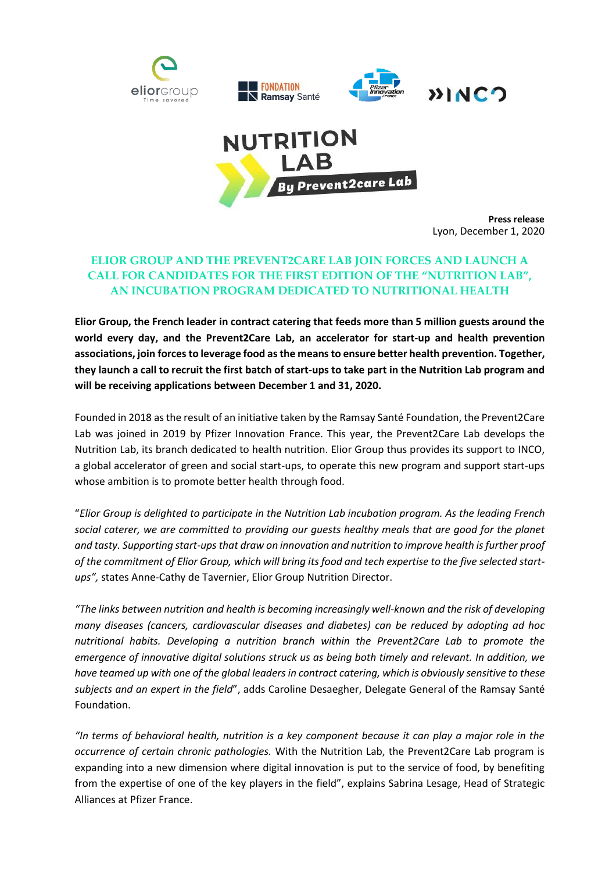

**Press release** Lyon, December 1, 2020

# **ELIOR GROUP AND THE PREVENT2CARE LAB JOIN FORCES AND LAUNCH A CALL FOR CANDIDATES FOR THE FIRST EDITION OF THE "NUTRITION LAB", AN INCUBATION PROGRAM DEDICATED TO NUTRITIONAL HEALTH**

**Elior Group, the French leader in contract catering that feeds more than 5 million guests around the world every day, and the Prevent2Care Lab, an accelerator for start-up and health prevention associations, join forces to leverage food as the means to ensure better health prevention. Together, they launch a call to recruit the first batch of start-ups to take part in the Nutrition Lab program and will be receiving applications between December 1 and 31, 2020.**

Founded in 2018 as the result of an initiative taken by the Ramsay Santé Foundation, the Prevent2Care Lab was joined in 2019 by Pfizer Innovation France. This year, the Prevent2Care Lab develops the Nutrition Lab, its branch dedicated to health nutrition. Elior Group thus provides its support to INCO, a global accelerator of green and social start-ups, to operate this new program and support start-ups whose ambition is to promote better health through food.

"*Elior Group is delighted to participate in the Nutrition Lab incubation program. As the leading French social caterer, we are committed to providing our guests healthy meals that are good for the planet and tasty. Supporting start-ups that draw on innovation and nutrition to improve health is further proof of the commitment of Elior Group, which will bring its food and tech expertise to the five selected startups",* states Anne-Cathy de Tavernier, Elior Group Nutrition Director.

*"The links between nutrition and health is becoming increasingly well-known and the risk of developing many diseases (cancers, cardiovascular diseases and diabetes) can be reduced by adopting ad hoc nutritional habits. Developing a nutrition branch within the Prevent2Care Lab to promote the emergence of innovative digital solutions struck us as being both timely and relevant. In addition, we have teamed up with one of the global leaders in contract catering, which is obviously sensitive to these subjects and an expert in the field*", adds Caroline Desaegher, Delegate General of the Ramsay Santé Foundation.

*"In terms of behavioral health, nutrition is a key component because it can play a major role in the occurrence of certain chronic pathologies.* With the Nutrition Lab, the Prevent2Care Lab program is expanding into a new dimension where digital innovation is put to the service of food, by benefiting from the expertise of one of the key players in the field", explains Sabrina Lesage, Head of Strategic Alliances at Pfizer France.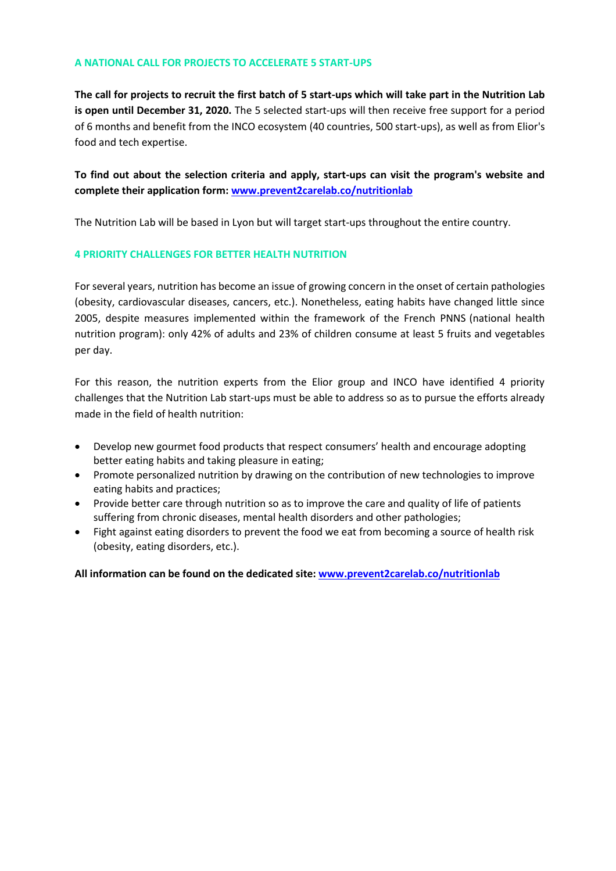## **A NATIONAL CALL FOR PROJECTS TO ACCELERATE 5 START-UPS**

**The call for projects to recruit the first batch of 5 start-ups which will take part in the Nutrition Lab is open until December 31, 2020.** The 5 selected start-ups will then receive free support for a period of 6 months and benefit from the INCO ecosystem (40 countries, 500 start-ups), as well as from Elior's food and tech expertise.

# **To find out about the selection criteria and apply, start-ups can visit the program's website and complete their application form: [www.prevent2carelab.co/nutritionlab](http://www.prevent2carelab.co/nutritionlab)**

The Nutrition Lab will be based in Lyon but will target start-ups throughout the entire country.

## **4 PRIORITY CHALLENGES FOR BETTER HEALTH NUTRITION**

For several years, nutrition has become an issue of growing concern in the onset of certain pathologies (obesity, cardiovascular diseases, cancers, etc.). Nonetheless, eating habits have changed little since 2005, despite measures implemented within the framework of the French PNNS (national health nutrition program): only 42% of adults and 23% of children consume at least 5 fruits and vegetables per day.

For this reason, the nutrition experts from the Elior group and INCO have identified 4 priority challenges that the Nutrition Lab start-ups must be able to address so as to pursue the efforts already made in the field of health nutrition:

- Develop new gourmet food products that respect consumers' health and encourage adopting better eating habits and taking pleasure in eating;
- Promote personalized nutrition by drawing on the contribution of new technologies to improve eating habits and practices;
- Provide better care through nutrition so as to improve the care and quality of life of patients suffering from chronic diseases, mental health disorders and other pathologies;
- Fight against eating disorders to prevent the food we eat from becoming a source of health risk (obesity, eating disorders, etc.).

**All information can be found on the dedicated site[: www.prevent2carelab.co/nutritionlab](http://www.prevent2carelab.co/nutritionlab)**